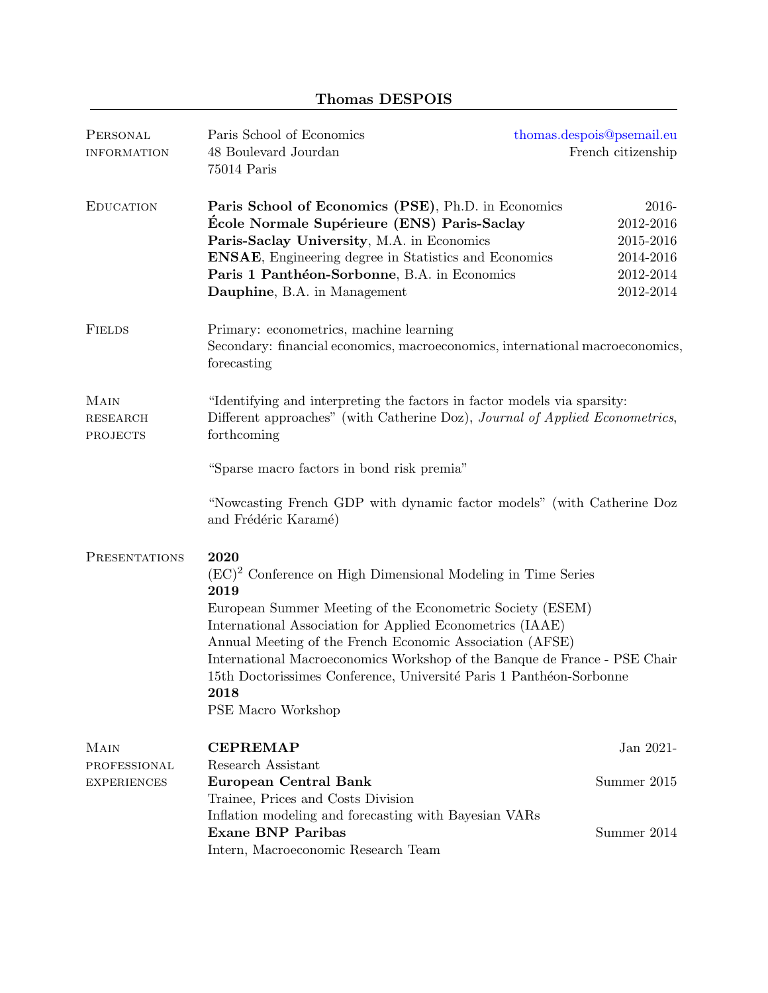## Thomas DESPOIS

| PERSONAL<br><b>INFORMATION</b>             | Paris School of Economics<br>48 Boulevard Jourdan<br>75014 Paris                                                                                                                                                                                                                                                                                                                                                                                        | thomas.despois@psemail.eu<br>French citizenship                        |  |
|--------------------------------------------|---------------------------------------------------------------------------------------------------------------------------------------------------------------------------------------------------------------------------------------------------------------------------------------------------------------------------------------------------------------------------------------------------------------------------------------------------------|------------------------------------------------------------------------|--|
| <b>EDUCATION</b>                           | Paris School of Economics (PSE), Ph.D. in Economics<br>École Normale Supérieure (ENS) Paris-Saclay<br>Paris-Saclay University, M.A. in Economics<br><b>ENSAE,</b> Engineering degree in Statistics and Economics<br>Paris 1 Panthéon-Sorbonne, B.A. in Economics<br>Dauphine, B.A. in Management                                                                                                                                                        | 2016-<br>2012-2016<br>2015-2016<br>2014-2016<br>2012-2014<br>2012-2014 |  |
| <b>FIELDS</b>                              | Primary: econometrics, machine learning<br>Secondary: financial economics, macroeconomics, international macroeconomics,<br>forecasting                                                                                                                                                                                                                                                                                                                 |                                                                        |  |
| MAIN<br><b>RESEARCH</b><br><b>PROJECTS</b> | "Identifying and interpreting the factors in factor models via sparsity:<br>Different approaches" (with Catherine Doz), Journal of Applied Econometrics,<br>forthcoming                                                                                                                                                                                                                                                                                 |                                                                        |  |
|                                            | "Sparse macro factors in bond risk premia"                                                                                                                                                                                                                                                                                                                                                                                                              |                                                                        |  |
|                                            | "Nowcasting French GDP with dynamic factor models" (with Catherine Doz<br>and Frédéric Karamé)                                                                                                                                                                                                                                                                                                                                                          |                                                                        |  |
| PRESENTATIONS                              | 2020<br>$(EC)^2$ Conference on High Dimensional Modeling in Time Series<br>2019<br>European Summer Meeting of the Econometric Society (ESEM)<br>International Association for Applied Econometrics (IAAE)<br>Annual Meeting of the French Economic Association (AFSE)<br>International Macroeconomics Workshop of the Banque de France - PSE Chair<br>15th Doctorissimes Conference, Université Paris 1 Panthéon-Sorbonne<br>2018<br>PSE Macro Workshop |                                                                        |  |
| MAIN                                       | <b>CEPREMAP</b>                                                                                                                                                                                                                                                                                                                                                                                                                                         | Jan 2021-                                                              |  |
| PROFESSIONAL<br><b>EXPERIENCES</b>         | Research Assistant<br><b>European Central Bank</b><br>Trainee, Prices and Costs Division                                                                                                                                                                                                                                                                                                                                                                | Summer 2015                                                            |  |
|                                            | Inflation modeling and forecasting with Bayesian VARs<br><b>Exane BNP Paribas</b><br>Intern, Macroeconomic Research Team                                                                                                                                                                                                                                                                                                                                | Summer 2014                                                            |  |